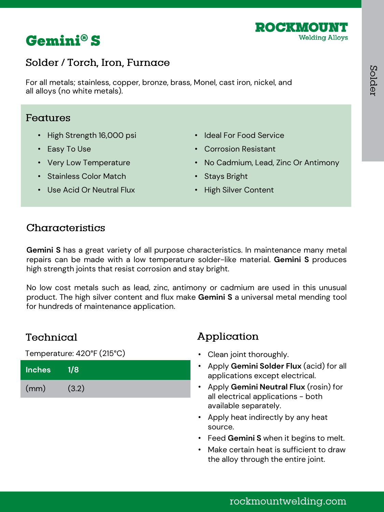



## Solder / Torch, Iron, Furnace

For all metals; stainless, copper, bronze, brass, Monel, cast iron, nickel, and all alloys (no white metals).

### Features

- High Strength 16,000 psi
- Easy To Use
- Very Low Temperature
- Ideal For Food Service • Corrosion Resistant
- No Cadmium, Lead, Zinc Or Antimony

• Stainless Color Match

- Stays Bright
- High Silver Content
- Use Acid Or Neutral Flux

### Characteristics

**Gemini S** has a great variety of all purpose characteristics. In maintenance many metal repairs can be made with a low temperature solder-like material. **Gemini S** produces high strength joints that resist corrosion and stay bright.

No low cost metals such as lead, zinc, antimony or cadmium are used in this unusual product. The high silver content and flux make **Gemini S** a universal metal mending tool for hundreds of maintenance application.

### Technical

Temperature: 420°F (215°C)

| <b>Inches</b> | $\sqrt{1/8}$ |
|---------------|--------------|
| (mm)          | (3.2)        |

- Clean joint thoroughly.
- Apply **Gemini Solder Flux** (acid) for all applications except electrical.
- Apply **Gemini Neutral Flux** (rosin) for all electrical applications - both available separately.
- Apply heat indirectly by any heat source.
- Feed **Gemini S** when it begins to melt.
- Make certain heat is sufficient to draw the alloy through the entire joint.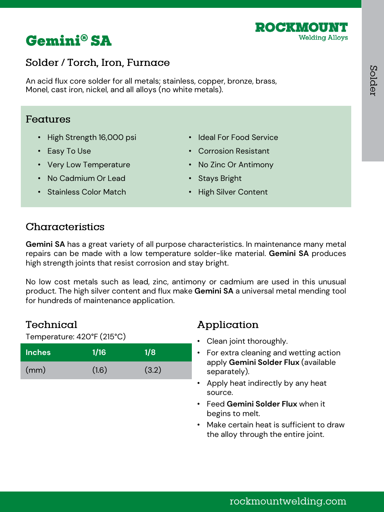



## Solder / Torch, Iron, Furnace

An acid flux core solder for all metals; stainless, copper, bronze, brass, Monel, cast iron, nickel, and all alloys (no white metals).

#### Features

- High Strength 16,000 psi
- Easy To Use
- Very Low Temperature
- No Cadmium Or Lead

• Stainless Color Match

- Ideal For Food Service
- Corrosion Resistant
- No Zinc Or Antimony
- Stays Bright
- High Silver Content

# Characteristics

**Gemini SA** has a great variety of all purpose characteristics. In maintenance many metal repairs can be made with a low temperature solder-like material. **Gemini SA** produces high strength joints that resist corrosion and stay bright.

No low cost metals such as lead, zinc, antimony or cadmium are used in this unusual product. The high silver content and flux make **Gemini SA** a universal metal mending tool for hundreds of maintenance application.

## Technical

Temperature: 420°F (215°C)

| <b>Inches</b> | 1/16  | 1/8   |
|---------------|-------|-------|
| (mm)          | (1.6) | (3.2) |

- Clean joint thoroughly.
- For extra cleaning and wetting action apply **Gemini Solder Flux** (available separately).
- Apply heat indirectly by any heat source.
- Feed **Gemini Solder Flux** when it begins to melt.
- Make certain heat is sufficient to draw the alloy through the entire joint.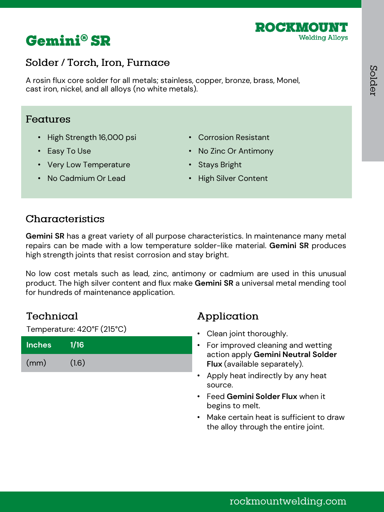



## Solder / Torch, Iron, Furnace

A rosin flux core solder for all metals; stainless, copper, bronze, brass, Monel, cast iron, nickel, and all alloys (no white metals).

### **Features**

- High Strength 16,000 psi
- Easy To Use
- Very Low Temperature
- Corrosion Resistant
- No Zinc Or Antimony
- Stays Bright

• No Cadmium Or Lead

• High Silver Content

## Characteristics

**Gemini SR** has a great variety of all purpose characteristics. In maintenance many metal repairs can be made with a low temperature solder-like material. **Gemini SR** produces high strength joints that resist corrosion and stay bright.

No low cost metals such as lead, zinc, antimony or cadmium are used in this unusual product. The high silver content and flux make **Gemini SR** a universal metal mending tool for hundreds of maintenance application.

### Technical

Temperature: 420°F (215°C)

| <b>Inches</b> | 1/16  |
|---------------|-------|
| (mm)          | (1.6) |

- Clean joint thoroughly.
- For improved cleaning and wetting action apply **Gemini Neutral Solder Flux** (available separately).
- Apply heat indirectly by any heat source.
- Feed **Gemini Solder Flux** when it begins to melt.
- Make certain heat is sufficient to draw the alloy through the entire joint.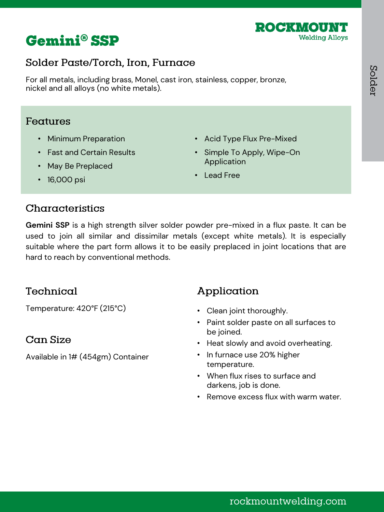

# **Gemini® SSP**

# Solder Paste/Torch, Iron, Furnace

For all metals, including brass, Monel, cast iron, stainless, copper, bronze, nickel and all alloys (no white metals).

### Features

- Minimum Preparation
- Fast and Certain Results
- May Be Preplaced
- Acid Type Flux Pre-Mixed
- Simple To Apply, Wipe-On Application
- Lead Free

• 16,000 psi

## Characteristics

**Gemini SSP** is a high strength silver solder powder pre-mixed in a flux paste. It can be used to join all similar and dissimilar metals (except white metals). It is especially suitable where the part form allows it to be easily preplaced in joint locations that are hard to reach by conventional methods.

## Technical

Temperature: 420°F (215°C)

### Can Size

Available in 1# (454gm) Container

- Clean joint thoroughly.
- Paint solder paste on all surfaces to be joined.
- Heat slowly and avoid overheating.
- In furnace use 20% higher temperature.
- When flux rises to surface and darkens, job is done.
- Remove excess flux with warm water.